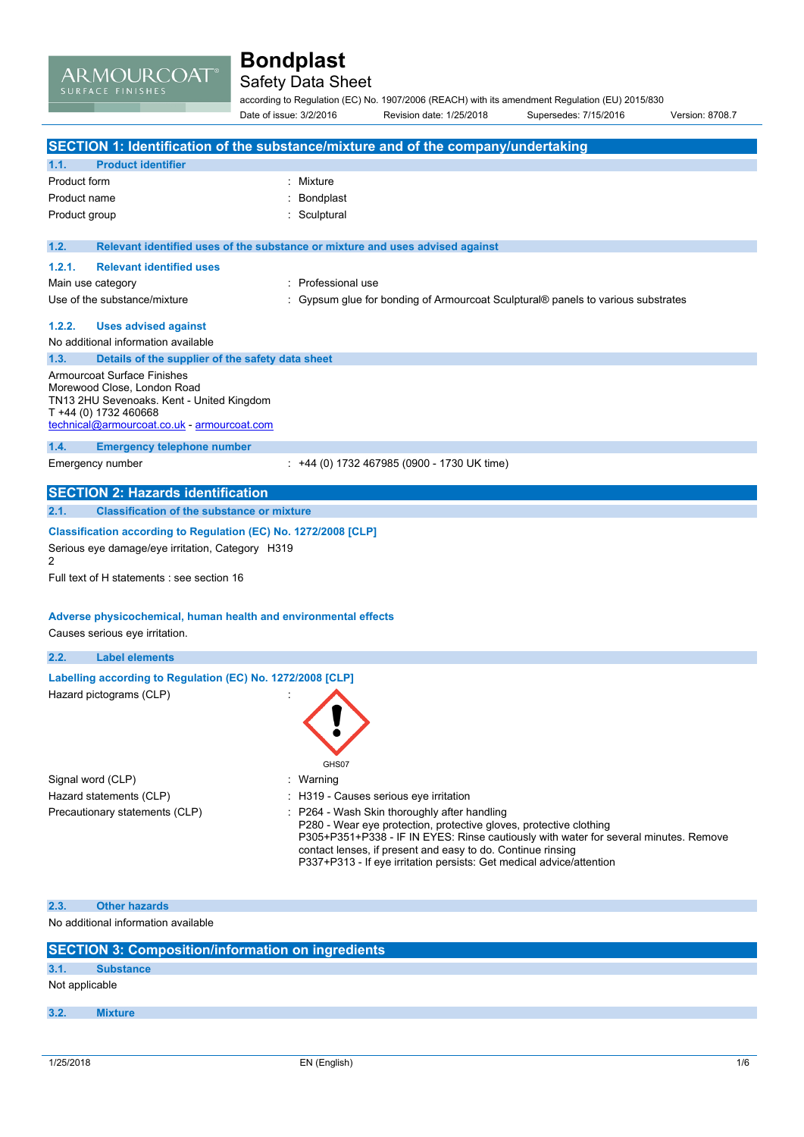ARMOURCOAT®

## Safety Data Sheet

according to Regulation (EC) No. 1907/2006 (REACH) with its amendment Regulation (EU) 2015/830 Date of issue: 3/2/2016 Revision date: 1/25/2018 Supersedes: 7/15/2016 Version: 8708.7

| SECTION 1: Identification of the substance/mixture and of the company/undertaking                                                                                                   |                                                                                                                                                                                                                                                                                                                                                   |  |  |
|-------------------------------------------------------------------------------------------------------------------------------------------------------------------------------------|---------------------------------------------------------------------------------------------------------------------------------------------------------------------------------------------------------------------------------------------------------------------------------------------------------------------------------------------------|--|--|
| 1.1.<br><b>Product identifier</b>                                                                                                                                                   |                                                                                                                                                                                                                                                                                                                                                   |  |  |
| Product form                                                                                                                                                                        | : Mixture                                                                                                                                                                                                                                                                                                                                         |  |  |
| Product name                                                                                                                                                                        | Bondplast                                                                                                                                                                                                                                                                                                                                         |  |  |
| Product group                                                                                                                                                                       | Sculptural                                                                                                                                                                                                                                                                                                                                        |  |  |
|                                                                                                                                                                                     |                                                                                                                                                                                                                                                                                                                                                   |  |  |
| 1.2.                                                                                                                                                                                | Relevant identified uses of the substance or mixture and uses advised against                                                                                                                                                                                                                                                                     |  |  |
| 1.2.1.<br><b>Relevant identified uses</b>                                                                                                                                           |                                                                                                                                                                                                                                                                                                                                                   |  |  |
| Main use category                                                                                                                                                                   | : Professional use                                                                                                                                                                                                                                                                                                                                |  |  |
| Use of the substance/mixture                                                                                                                                                        | : Gypsum glue for bonding of Armourcoat Sculptural® panels to various substrates                                                                                                                                                                                                                                                                  |  |  |
| 1.2.2.<br><b>Uses advised against</b>                                                                                                                                               |                                                                                                                                                                                                                                                                                                                                                   |  |  |
| No additional information available                                                                                                                                                 |                                                                                                                                                                                                                                                                                                                                                   |  |  |
| 1.3.<br>Details of the supplier of the safety data sheet                                                                                                                            |                                                                                                                                                                                                                                                                                                                                                   |  |  |
| Armourcoat Surface Finishes<br>Morewood Close, London Road<br>TN13 2HU Sevenoaks. Kent - United Kingdom<br>T +44 (0) 1732 460668<br>technical@armourcoat.co.uk - armourcoat.com     |                                                                                                                                                                                                                                                                                                                                                   |  |  |
| 1.4.<br><b>Emergency telephone number</b>                                                                                                                                           |                                                                                                                                                                                                                                                                                                                                                   |  |  |
| Emergency number                                                                                                                                                                    | : +44 (0) 1732 467985 (0900 - 1730 UK time)                                                                                                                                                                                                                                                                                                       |  |  |
|                                                                                                                                                                                     |                                                                                                                                                                                                                                                                                                                                                   |  |  |
| <b>SECTION 2: Hazards identification</b>                                                                                                                                            |                                                                                                                                                                                                                                                                                                                                                   |  |  |
| 2.1.<br><b>Classification of the substance or mixture</b>                                                                                                                           |                                                                                                                                                                                                                                                                                                                                                   |  |  |
| Classification according to Regulation (EC) No. 1272/2008 [CLP]<br>Serious eye damage/eye irritation, Category H319<br>$\overline{2}$<br>Full text of H statements : see section 16 |                                                                                                                                                                                                                                                                                                                                                   |  |  |
| Adverse physicochemical, human health and environmental effects<br>Causes serious eye irritation.                                                                                   |                                                                                                                                                                                                                                                                                                                                                   |  |  |
| 2.2.<br><b>Label elements</b>                                                                                                                                                       |                                                                                                                                                                                                                                                                                                                                                   |  |  |
| Labelling according to Regulation (EC) No. 1272/2008 [CLP]<br>Hazard pictograms (CLP)                                                                                               | GHS07                                                                                                                                                                                                                                                                                                                                             |  |  |
| Signal word (CLP)                                                                                                                                                                   | : Warning                                                                                                                                                                                                                                                                                                                                         |  |  |
| Hazard statements (CLP)                                                                                                                                                             | : H319 - Causes serious eye irritation                                                                                                                                                                                                                                                                                                            |  |  |
| Precautionary statements (CLP)                                                                                                                                                      | : P264 - Wash Skin thoroughly after handling<br>P280 - Wear eye protection, protective gloves, protective clothing<br>P305+P351+P338 - IF IN EYES: Rinse cautiously with water for several minutes. Remove<br>contact lenses, if present and easy to do. Continue rinsing<br>P337+P313 - If eye irritation persists: Get medical advice/attention |  |  |
| 2.3.<br><b>Other hazards</b>                                                                                                                                                        |                                                                                                                                                                                                                                                                                                                                                   |  |  |
| No additional information available                                                                                                                                                 |                                                                                                                                                                                                                                                                                                                                                   |  |  |

| <b>SECTION 3: Composition/information on ingredients</b> |                  |  |  |
|----------------------------------------------------------|------------------|--|--|
| 3.1.                                                     | <b>Substance</b> |  |  |
| Not applicable                                           |                  |  |  |
| 3.2.                                                     | <b>Mixture</b>   |  |  |
|                                                          |                  |  |  |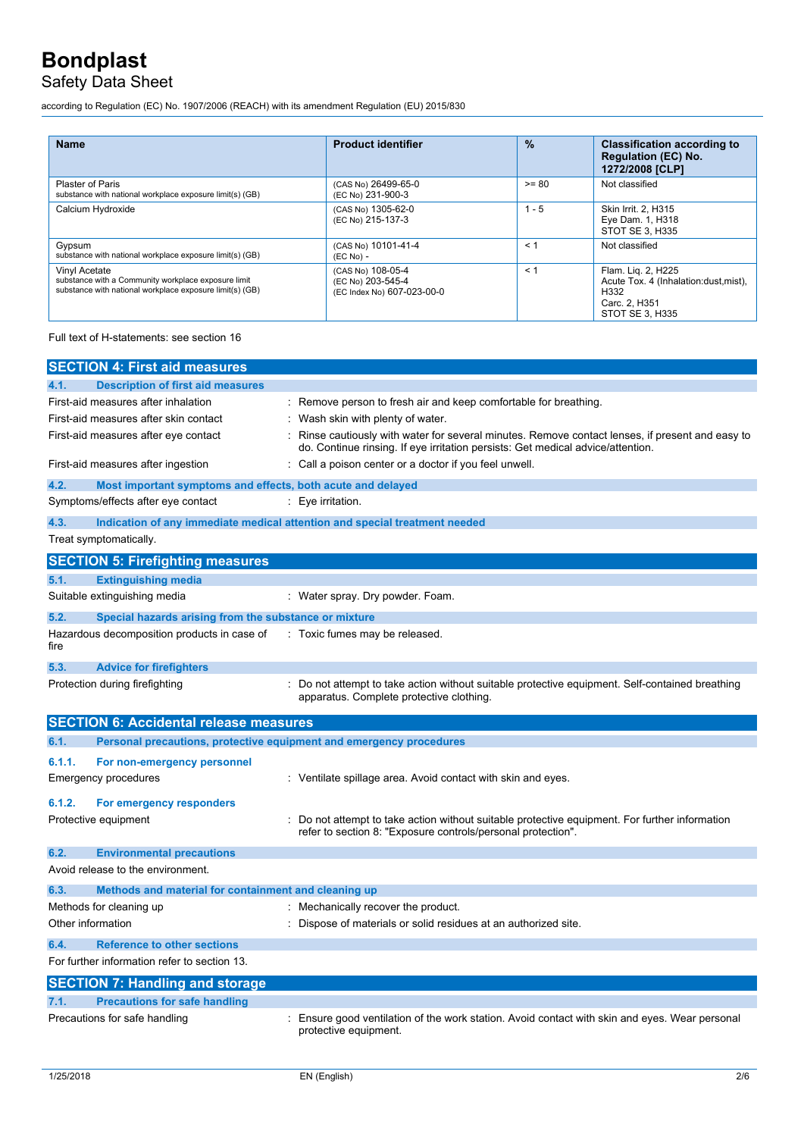## Safety Data Sheet

according to Regulation (EC) No. 1907/2006 (REACH) with its amendment Regulation (EU) 2015/830

| <b>Name</b>                                                                                                                      | <b>Product identifier</b>                                            | $\%$    | <b>Classification according to</b><br><b>Regulation (EC) No.</b><br>1272/2008 [CLP]                      |
|----------------------------------------------------------------------------------------------------------------------------------|----------------------------------------------------------------------|---------|----------------------------------------------------------------------------------------------------------|
| <b>Plaster of Paris</b><br>substance with national workplace exposure limit(s) (GB)                                              | (CAS No) 26499-65-0<br>(EC No) 231-900-3                             | $>= 80$ | Not classified                                                                                           |
| Calcium Hydroxide                                                                                                                | (CAS No) 1305-62-0<br>(EC No) 215-137-3                              | $1 - 5$ | Skin Irrit. 2. H315<br>Eye Dam. 1, H318<br>STOT SE 3, H335                                               |
| Gypsum<br>substance with national workplace exposure limit(s) (GB)                                                               | (CAS No) 10101-41-4<br>$(EC No) -$                                   | < 1     | Not classified                                                                                           |
| Vinyl Acetate<br>substance with a Community workplace exposure limit<br>substance with national workplace exposure limit(s) (GB) | (CAS No) 108-05-4<br>(EC No) 203-545-4<br>(EC Index No) 607-023-00-0 | < 1     | Flam. Lig. 2, H225<br>Acute Tox. 4 (Inhalation: dust, mist),<br>H332<br>Carc. 2, H351<br>STOT SE 3, H335 |

Full text of H-statements: see section 16

|        | <b>SECTION 4: First aid measures</b>                                |                                                                                                                                                                                   |
|--------|---------------------------------------------------------------------|-----------------------------------------------------------------------------------------------------------------------------------------------------------------------------------|
| 4.1.   | <b>Description of first aid measures</b>                            |                                                                                                                                                                                   |
|        | First-aid measures after inhalation                                 | : Remove person to fresh air and keep comfortable for breathing.                                                                                                                  |
|        | First-aid measures after skin contact                               | Wash skin with plenty of water.                                                                                                                                                   |
|        | First-aid measures after eye contact                                | Rinse cautiously with water for several minutes. Remove contact lenses, if present and easy to<br>do. Continue rinsing. If eye irritation persists: Get medical advice/attention. |
|        | First-aid measures after ingestion                                  | : Call a poison center or a doctor if you feel unwell.                                                                                                                            |
| 4.2.   | Most important symptoms and effects, both acute and delayed         |                                                                                                                                                                                   |
|        | Symptoms/effects after eye contact                                  | : Eye irritation.                                                                                                                                                                 |
| 4.3.   |                                                                     | Indication of any immediate medical attention and special treatment needed                                                                                                        |
|        | Treat symptomatically.                                              |                                                                                                                                                                                   |
|        | <b>SECTION 5: Firefighting measures</b>                             |                                                                                                                                                                                   |
| 5.1.   | <b>Extinguishing media</b>                                          |                                                                                                                                                                                   |
|        | Suitable extinguishing media                                        | : Water spray. Dry powder. Foam.                                                                                                                                                  |
| 5.2.   | Special hazards arising from the substance or mixture               |                                                                                                                                                                                   |
| fire   | Hazardous decomposition products in case of                         | : Toxic fumes may be released.                                                                                                                                                    |
| 5.3.   | <b>Advice for firefighters</b>                                      |                                                                                                                                                                                   |
|        | Protection during firefighting                                      | Do not attempt to take action without suitable protective equipment. Self-contained breathing<br>apparatus. Complete protective clothing.                                         |
|        |                                                                     |                                                                                                                                                                                   |
|        | <b>SECTION 6: Accidental release measures</b>                       |                                                                                                                                                                                   |
| 6.1.   | Personal precautions, protective equipment and emergency procedures |                                                                                                                                                                                   |
| 6.1.1. | For non-emergency personnel                                         |                                                                                                                                                                                   |
|        | <b>Emergency procedures</b>                                         | : Ventilate spillage area. Avoid contact with skin and eyes.                                                                                                                      |
| 6.1.2. | For emergency responders                                            |                                                                                                                                                                                   |
|        | Protective equipment                                                | Do not attempt to take action without suitable protective equipment. For further information<br>refer to section 8: "Exposure controls/personal protection".                      |
| 6.2.   | <b>Environmental precautions</b>                                    |                                                                                                                                                                                   |
|        | Avoid release to the environment.                                   |                                                                                                                                                                                   |
| 6.3.   | Methods and material for containment and cleaning up                |                                                                                                                                                                                   |
|        | Methods for cleaning up                                             | Mechanically recover the product.                                                                                                                                                 |
|        | Other information                                                   | Dispose of materials or solid residues at an authorized site.                                                                                                                     |
| 6.4.   | <b>Reference to other sections</b>                                  |                                                                                                                                                                                   |
|        | For further information refer to section 13.                        |                                                                                                                                                                                   |
|        | <b>SECTION 7: Handling and storage</b>                              |                                                                                                                                                                                   |
| 7.1.   | <b>Precautions for safe handling</b>                                |                                                                                                                                                                                   |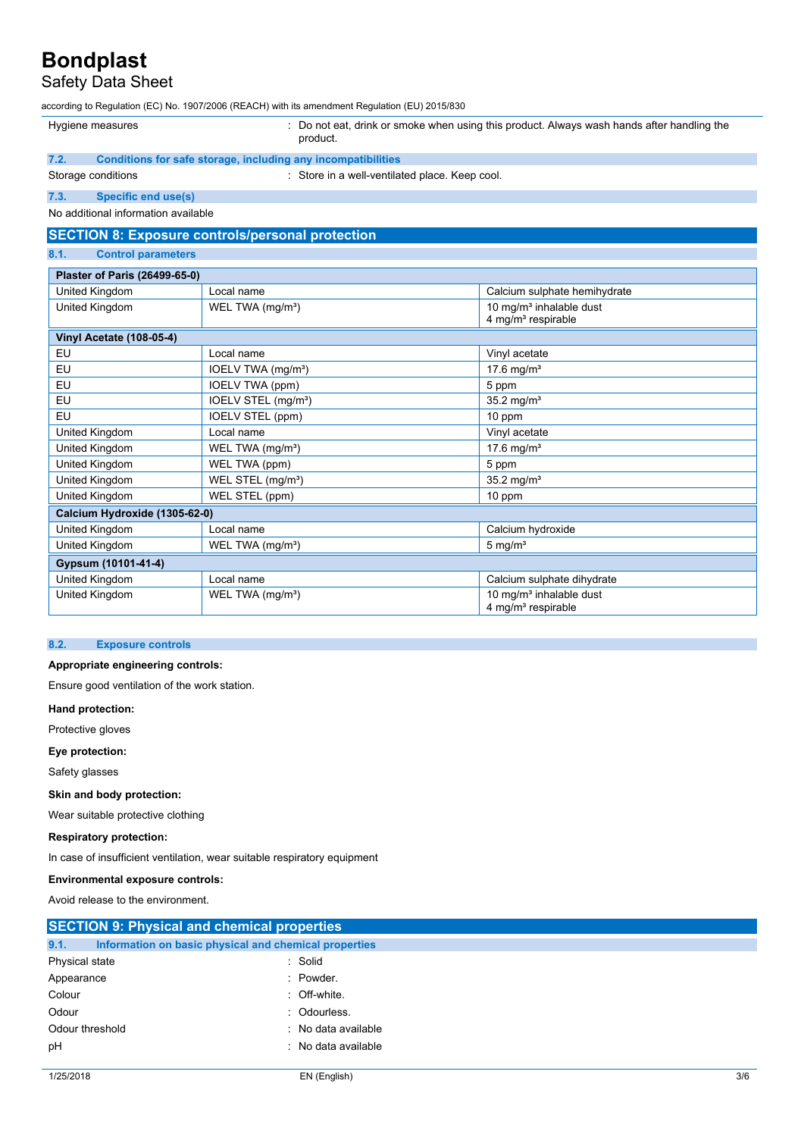## Safety Data Sheet

according to Regulation (EC) No. 1907/2006 (REACH) with its amendment Regulation (EU) 2015/830

Hygiene measures **included in the case of the Constantiane** : Do not eat, drink or smoke when using this product. Always wash hands after handling the

product.

## **7.2. Conditions for safe storage, including any incompatibilities**

Storage conditions **Storage conditions** : Store in a well-ventilated place. Keep cool.

#### **7.3. Specific end use(s)**

No additional information available

## **SECTION 8: Exposure controls/personal protection**

#### **8.1. Control parameters**

| Plaster of Paris (26499-65-0)   |                                 |                                     |  |
|---------------------------------|---------------------------------|-------------------------------------|--|
| United Kingdom                  | Local name                      | Calcium sulphate hemihydrate        |  |
| United Kingdom                  | WEL TWA (mg/m <sup>3</sup> )    | 10 mg/m <sup>3</sup> inhalable dust |  |
|                                 |                                 | 4 mg/m <sup>3</sup> respirable      |  |
| <b>Vinyl Acetate (108-05-4)</b> |                                 |                                     |  |
| EU                              | Local name                      | Vinyl acetate                       |  |
| EU                              | IOELV TWA (mg/m <sup>3</sup> )  | 17.6 mg/m <sup>3</sup>              |  |
| EU                              | IOELV TWA (ppm)                 | 5 ppm                               |  |
| EU                              | IOELV STEL (mg/m <sup>3</sup> ) | $35.2$ mg/m <sup>3</sup>            |  |
| EU                              | IOELV STEL (ppm)                | 10 ppm                              |  |
| United Kingdom                  | Local name                      | Vinyl acetate                       |  |
| United Kingdom                  | WEL TWA (mg/m <sup>3</sup> )    | 17.6 mg/m <sup>3</sup>              |  |
| United Kingdom                  | WEL TWA (ppm)                   | 5 ppm                               |  |
| United Kingdom                  | WEL STEL (mg/m <sup>3</sup> )   | $35.2 \text{ mg/m}^3$               |  |
| United Kingdom                  | WEL STEL (ppm)                  | 10 ppm                              |  |
| Calcium Hydroxide (1305-62-0)   |                                 |                                     |  |
| United Kingdom                  | Local name                      | Calcium hydroxide                   |  |
| United Kingdom                  | WEL TWA (mg/m <sup>3</sup> )    | $5 \text{ mg/m}^3$                  |  |
| Gypsum (10101-41-4)             |                                 |                                     |  |
| United Kingdom                  | Local name                      | Calcium sulphate dihydrate          |  |
| United Kingdom                  | WEL TWA (mg/m <sup>3</sup> )    | 10 mg/m <sup>3</sup> inhalable dust |  |
|                                 |                                 | 4 mg/m <sup>3</sup> respirable      |  |

### **8.2. Exposure controls**

#### **Appropriate engineering controls:**

Ensure good ventilation of the work station.

**Hand protection:**

- Protective gloves
- **Eye protection:**

Safety glasses

### **Skin and body protection:**

Wear suitable protective clothing

#### **Respiratory protection:**

In case of insufficient ventilation, wear suitable respiratory equipment

### **Environmental exposure controls:**

Avoid release to the environment.

| <b>SECTION 9: Physical and chemical properties</b>            |                     |  |  |
|---------------------------------------------------------------|---------------------|--|--|
| 9.1.<br>Information on basic physical and chemical properties |                     |  |  |
| Physical state                                                | : Solid             |  |  |
| Appearance                                                    | : Powder.           |  |  |
| Colour                                                        | : Off-white.        |  |  |
| Odour                                                         | : Odourless.        |  |  |
| Odour threshold                                               | : No data available |  |  |
| pH                                                            | : No data available |  |  |
|                                                               |                     |  |  |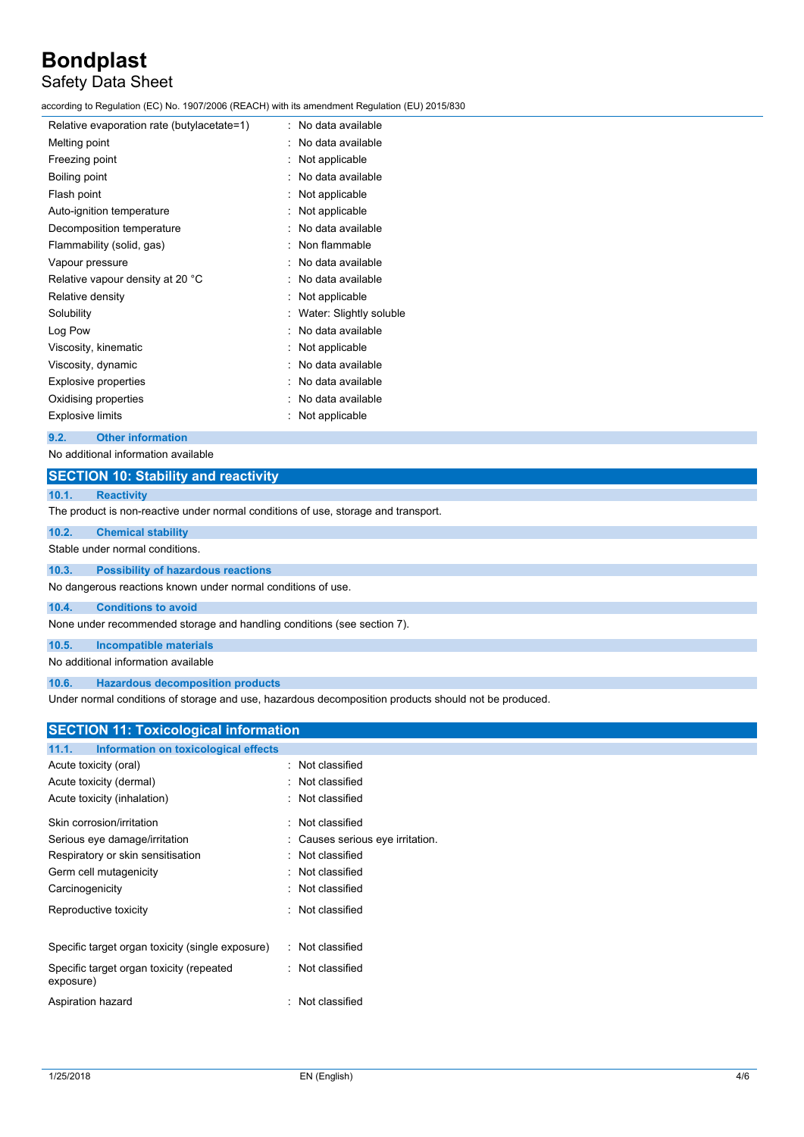## Safety Data Sheet

according to Regulation (EC) No. 1907/2006 (REACH) with its amendment Regulation (EU) 2015/830

| Relative evaporation rate (butylacetate=1) | No data available       |
|--------------------------------------------|-------------------------|
| Melting point                              | No data available       |
| Freezing point                             | Not applicable          |
| Boiling point                              | No data available       |
| Flash point                                | Not applicable          |
| Auto-ignition temperature                  | Not applicable          |
| Decomposition temperature                  | No data available       |
| Flammability (solid, gas)                  | Non flammable           |
| Vapour pressure                            | No data available       |
| Relative vapour density at 20 °C           | No data available       |
| Relative density                           | Not applicable          |
| Solubility                                 | Water: Slightly soluble |
| Log Pow                                    | No data available       |
| Viscosity, kinematic                       | Not applicable          |
| Viscosity, dynamic                         | No data available       |
| <b>Explosive properties</b>                | No data available       |
| Oxidising properties                       | No data available       |
| Explosive limits                           | Not applicable          |
|                                            |                         |

## **9.2. Other information**

No additional information available

## **SECTION 10: Stability and reactivity**

## **10.1. Reactivity**

The product is non-reactive under normal conditions of use, storage and transport.

| 10.2. | <b>Chemical stability</b>                                    |  |
|-------|--------------------------------------------------------------|--|
|       | Stable under normal conditions.                              |  |
| 10.3. | <b>Possibility of hazardous reactions</b>                    |  |
|       | No dangerous reactions known under normal conditions of use. |  |

**10.4. Conditions to avoid**

None under recommended storage and handling conditions (see section 7).

**10.5. Incompatible materials**

No additional information available

**10.6. Hazardous decomposition products**

Under normal conditions of storage and use, hazardous decomposition products should not be produced.

## **SECTION 11: Toxicological information**

| Information on toxicological effects<br>11.1.         |  |                                |
|-------------------------------------------------------|--|--------------------------------|
| Acute toxicity (oral)                                 |  | : Not classified               |
| Acute toxicity (dermal)                               |  | Not classified                 |
| Acute toxicity (inhalation)                           |  | : Not classified               |
| Skin corrosion/irritation                             |  | Not classified                 |
| Serious eye damage/irritation                         |  | Causes serious eye irritation. |
| Respiratory or skin sensitisation                     |  | Not classified                 |
| Germ cell mutagenicity                                |  | Not classified                 |
| Carcinogenicity                                       |  | Not classified                 |
| Reproductive toxicity                                 |  | : Not classified               |
|                                                       |  |                                |
| Specific target organ toxicity (single exposure)      |  | : Not classified               |
| Specific target organ toxicity (repeated<br>exposure) |  | $:$ Not classified             |
| Aspiration hazard                                     |  | Not classified                 |
|                                                       |  |                                |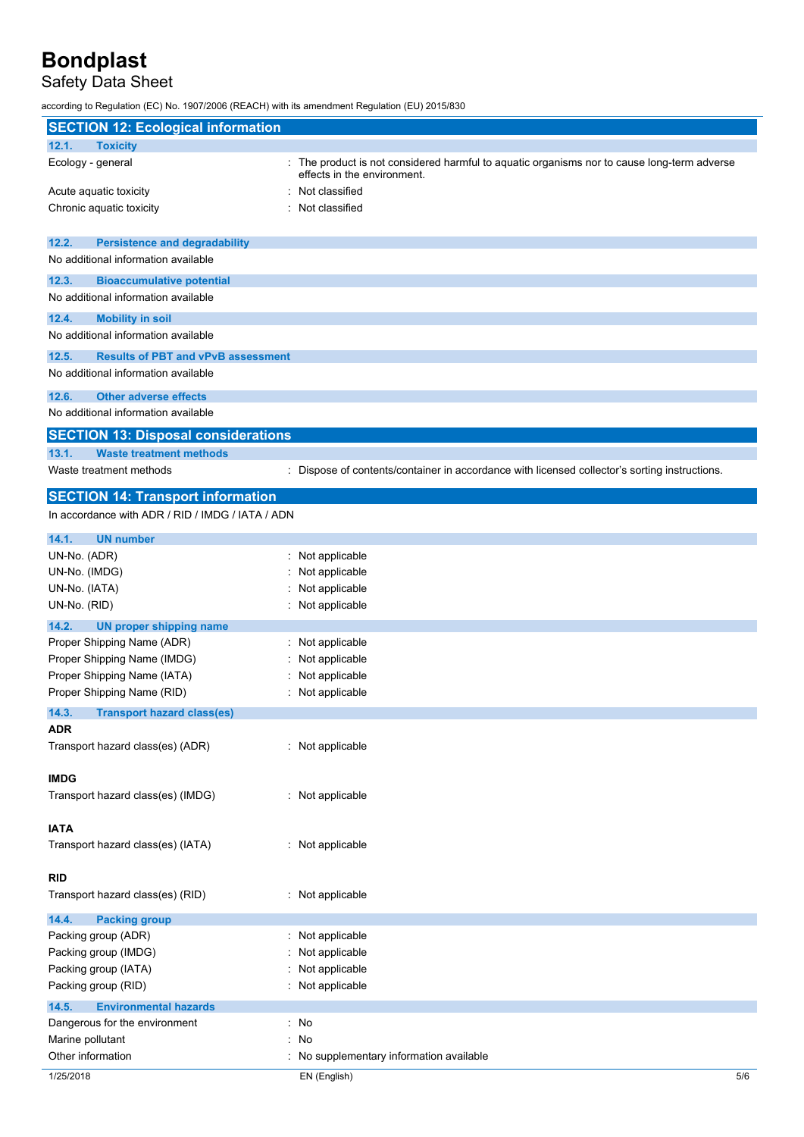## Safety Data Sheet

according to Regulation (EC) No. 1907/2006 (REACH) with its amendment Regulation (EU) 2015/830

| <b>SECTION 12: Ecological information</b>                               |                                                                                                                            |
|-------------------------------------------------------------------------|----------------------------------------------------------------------------------------------------------------------------|
| 12.1.<br><b>Toxicity</b>                                                |                                                                                                                            |
| Ecology - general                                                       | : The product is not considered harmful to aquatic organisms nor to cause long-term adverse<br>effects in the environment. |
| Acute aquatic toxicity                                                  | Not classified                                                                                                             |
| Chronic aquatic toxicity                                                | Not classified                                                                                                             |
| 12.2.<br><b>Persistence and degradability</b>                           |                                                                                                                            |
| No additional information available                                     |                                                                                                                            |
| 12.3.<br><b>Bioaccumulative potential</b>                               |                                                                                                                            |
| No additional information available                                     |                                                                                                                            |
| 12.4.<br><b>Mobility in soil</b><br>No additional information available |                                                                                                                            |
| 12.5.<br><b>Results of PBT and vPvB assessment</b>                      |                                                                                                                            |
| No additional information available                                     |                                                                                                                            |
| 12.6.<br><b>Other adverse effects</b>                                   |                                                                                                                            |
| No additional information available                                     |                                                                                                                            |
| <b>SECTION 13: Disposal considerations</b>                              |                                                                                                                            |
| 13.1.<br><b>Waste treatment methods</b>                                 |                                                                                                                            |
| Waste treatment methods                                                 | : Dispose of contents/container in accordance with licensed collector's sorting instructions.                              |
| <b>SECTION 14: Transport information</b>                                |                                                                                                                            |
| In accordance with ADR / RID / IMDG / IATA / ADN                        |                                                                                                                            |
| 14.1.<br><b>UN number</b>                                               |                                                                                                                            |
| UN-No. (ADR)                                                            | : Not applicable                                                                                                           |
| UN-No. (IMDG)                                                           | Not applicable                                                                                                             |
| UN-No. (IATA)                                                           | Not applicable                                                                                                             |
| UN-No. (RID)                                                            | Not applicable                                                                                                             |
| 14.2.<br><b>UN proper shipping name</b>                                 |                                                                                                                            |
| Proper Shipping Name (ADR)                                              | : Not applicable                                                                                                           |
| Proper Shipping Name (IMDG)                                             | Not applicable                                                                                                             |
| Proper Shipping Name (IATA)                                             | Not applicable                                                                                                             |
| Proper Shipping Name (RID)                                              | : Not applicable                                                                                                           |
| 14.3.<br><b>Transport hazard class(es)</b>                              |                                                                                                                            |
| ADR                                                                     |                                                                                                                            |
| Transport hazard class(es) (ADR)                                        | : Not applicable                                                                                                           |
| <b>IMDG</b>                                                             |                                                                                                                            |
| Transport hazard class(es) (IMDG)                                       | : Not applicable                                                                                                           |
| <b>IATA</b>                                                             |                                                                                                                            |
| Transport hazard class(es) (IATA)                                       | : Not applicable                                                                                                           |
|                                                                         |                                                                                                                            |
| <b>RID</b>                                                              |                                                                                                                            |
| Transport hazard class(es) (RID)                                        | : Not applicable                                                                                                           |
| 14.4.<br><b>Packing group</b>                                           |                                                                                                                            |
| Packing group (ADR)                                                     | : Not applicable                                                                                                           |
| Packing group (IMDG)                                                    | Not applicable                                                                                                             |
| Packing group (IATA)                                                    | Not applicable                                                                                                             |
| Packing group (RID)                                                     | : Not applicable                                                                                                           |
| 14.5.<br><b>Environmental hazards</b>                                   | : No                                                                                                                       |
| Dangerous for the environment<br>Marine pollutant                       | : No                                                                                                                       |
| Other information                                                       | : No supplementary information available                                                                                   |
| 1/25/2018                                                               | EN (English)<br>5/6                                                                                                        |
|                                                                         |                                                                                                                            |